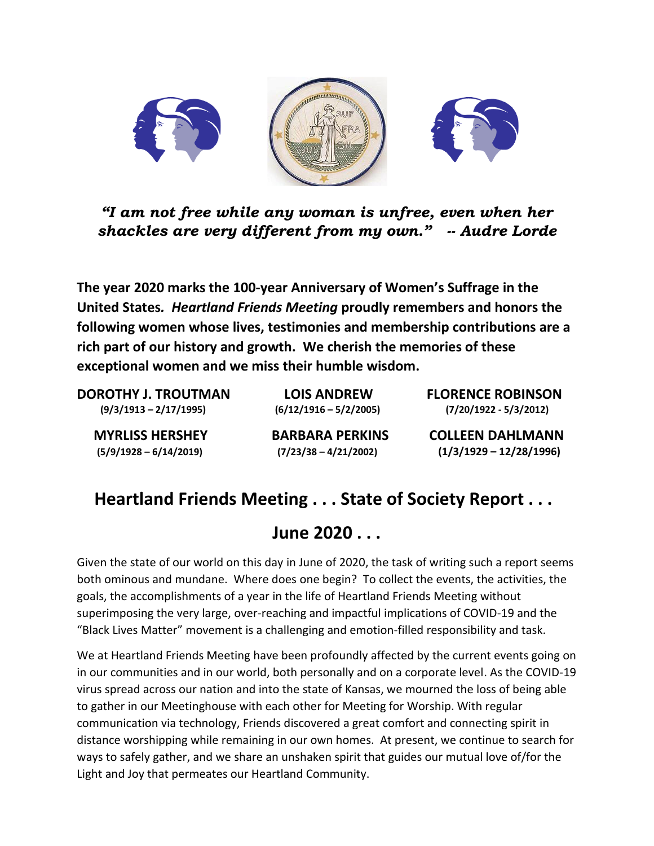

*"I am not free while any woman is unfree, even when her shackles are very different from my own." -- Audre Lorde*

**The year 2020 marks the 100-year Anniversary of Women's Suffrage in the United States***. Heartland Friends Meeting* **proudly remembers and honors the following women whose lives, testimonies and membership contributions are a rich part of our history and growth. We cherish the memories of these exceptional women and we miss their humble wisdom.** 

**DOROTHY J. TROUTMAN LOIS ANDREW FLORENCE ROBINSON (9/3/1913 – 2/17/1995) (6/12/1916 – 5/2/2005) (7/20/1922 - 5/3/2012)**

 **MYRLISS HERSHEY BARBARA PERKINS COLLEEN DAHLMANN (5/9/1928 – 6/14/2019) (7/23/38 – 4/21/2002) (1/3/1929 – 12/28/1996)** 

## **Heartland Friends Meeting . . . State of Society Report . . .**

## **June 2020 . . .**

Given the state of our world on this day in June of 2020, the task of writing such a report seems both ominous and mundane. Where does one begin? To collect the events, the activities, the goals, the accomplishments of a year in the life of Heartland Friends Meeting without superimposing the very large, over-reaching and impactful implications of COVID-19 and the "Black Lives Matter" movement is a challenging and emotion-filled responsibility and task.

We at Heartland Friends Meeting have been profoundly affected by the current events going on in our communities and in our world, both personally and on a corporate level. As the COVID-19 virus spread across our nation and into the state of Kansas, we mourned the loss of being able to gather in our Meetinghouse with each other for Meeting for Worship. With regular communication via technology, Friends discovered a great comfort and connecting spirit in distance worshipping while remaining in our own homes. At present, we continue to search for ways to safely gather, and we share an unshaken spirit that guides our mutual love of/for the Light and Joy that permeates our Heartland Community.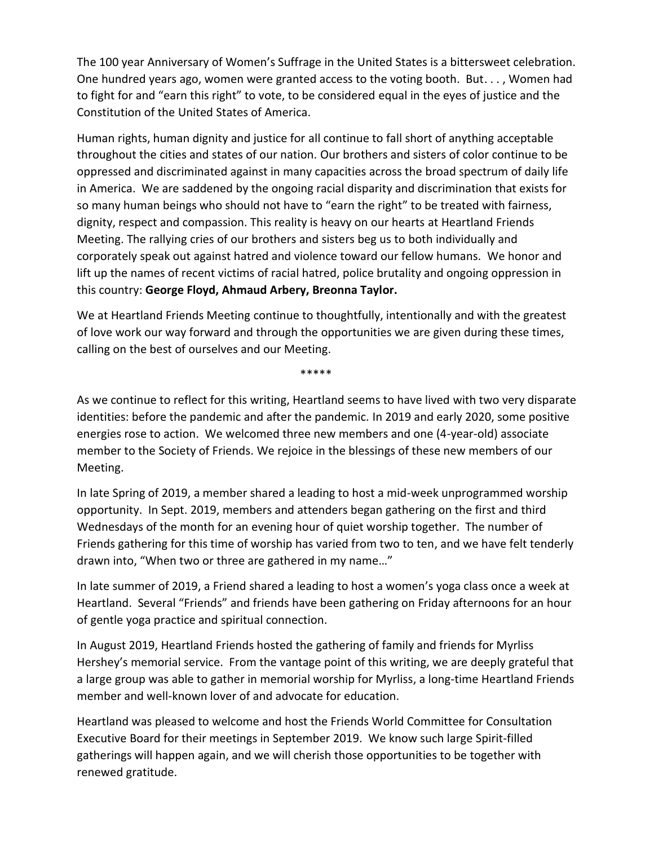The 100 year Anniversary of Women's Suffrage in the United States is a bittersweet celebration. One hundred years ago, women were granted access to the voting booth. But. . . , Women had to fight for and "earn this right" to vote, to be considered equal in the eyes of justice and the Constitution of the United States of America.

Human rights, human dignity and justice for all continue to fall short of anything acceptable throughout the cities and states of our nation. Our brothers and sisters of color continue to be oppressed and discriminated against in many capacities across the broad spectrum of daily life in America. We are saddened by the ongoing racial disparity and discrimination that exists for so many human beings who should not have to "earn the right" to be treated with fairness, dignity, respect and compassion. This reality is heavy on our hearts at Heartland Friends Meeting. The rallying cries of our brothers and sisters beg us to both individually and corporately speak out against hatred and violence toward our fellow humans. We honor and lift up the names of recent victims of racial hatred, police brutality and ongoing oppression in this country: **George Floyd, Ahmaud Arbery, Breonna Taylor.**

We at Heartland Friends Meeting continue to thoughtfully, intentionally and with the greatest of love work our way forward and through the opportunities we are given during these times, calling on the best of ourselves and our Meeting.

\*\*\*\*\*

As we continue to reflect for this writing, Heartland seems to have lived with two very disparate identities: before the pandemic and after the pandemic. In 2019 and early 2020, some positive energies rose to action. We welcomed three new members and one (4-year-old) associate member to the Society of Friends. We rejoice in the blessings of these new members of our Meeting.

In late Spring of 2019, a member shared a leading to host a mid-week unprogrammed worship opportunity. In Sept. 2019, members and attenders began gathering on the first and third Wednesdays of the month for an evening hour of quiet worship together. The number of Friends gathering for this time of worship has varied from two to ten, and we have felt tenderly drawn into, "When two or three are gathered in my name…"

In late summer of 2019, a Friend shared a leading to host a women's yoga class once a week at Heartland. Several "Friends" and friends have been gathering on Friday afternoons for an hour of gentle yoga practice and spiritual connection.

In August 2019, Heartland Friends hosted the gathering of family and friends for Myrliss Hershey's memorial service. From the vantage point of this writing, we are deeply grateful that a large group was able to gather in memorial worship for Myrliss, a long-time Heartland Friends member and well-known lover of and advocate for education.

Heartland was pleased to welcome and host the Friends World Committee for Consultation Executive Board for their meetings in September 2019. We know such large Spirit-filled gatherings will happen again, and we will cherish those opportunities to be together with renewed gratitude.